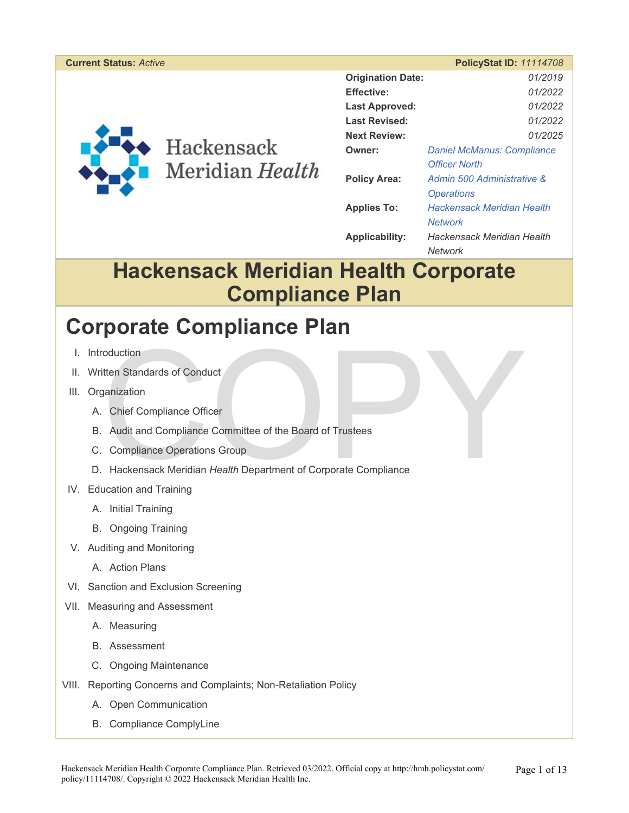#### **Current Status:** *Active* **PolicyStat ID:** *11114708*



## Hackensack Meridian Health

|                          | $\sim$ , , , ,                    |  |
|--------------------------|-----------------------------------|--|
| <b>Origination Date:</b> | 01/2019                           |  |
| Effective:               | 01/2022                           |  |
| <b>Last Approved:</b>    | 01/2022                           |  |
| <b>Last Revised:</b>     | 01/2022                           |  |
| <b>Next Review:</b>      | 01/2025                           |  |
| Owner:                   | <b>Daniel McManus: Compliance</b> |  |
|                          | <b>Officer North</b>              |  |
| <b>Policy Area:</b>      | Admin 500 Administrative &        |  |
|                          | <i><b>Operations</b></i>          |  |
| <b>Applies To:</b>       | Hackensack Meridian Health        |  |
|                          | Network                           |  |
| <b>Applicability:</b>    | Hackensack Meridian Health        |  |
|                          | Network                           |  |

### **Hackensack Meridian Health Corporate Compliance Plan**

### **Corporate Compliance Plan**

- I. Introduction
- II. Written Standards of Conduct
- III. Organization
	- A. Chief Compliance Officer
	- B. Audit and Compliance Committee of the Board of Trustees
	- C. Compliance Operations Group
- Transference of Conduct<br>
The Standards of Conduct<br>
Transference Officer<br>
Audit and Compliance Committee of the Board of Trustees<br>
Compliance Operations Group<br>
Hackensack Meridian Health Department of Corporate Compliance D. Hackensack Meridian *Health* Department of Corporate Compliance
- IV. Education and Training
	- A. Initial Training
	- B. Ongoing Training
- V. Auditing and Monitoring
	- A. Action Plans
- VI. Sanction and Exclusion Screening
- VII. Measuring and Assessment
	- A. Measuring
	- B. Assessment
	- C. Ongoing Maintenance
- VIII. Reporting Concerns and Complaints; Non-Retaliation Policy
	- A. Open Communication
	- B. Compliance ComplyLine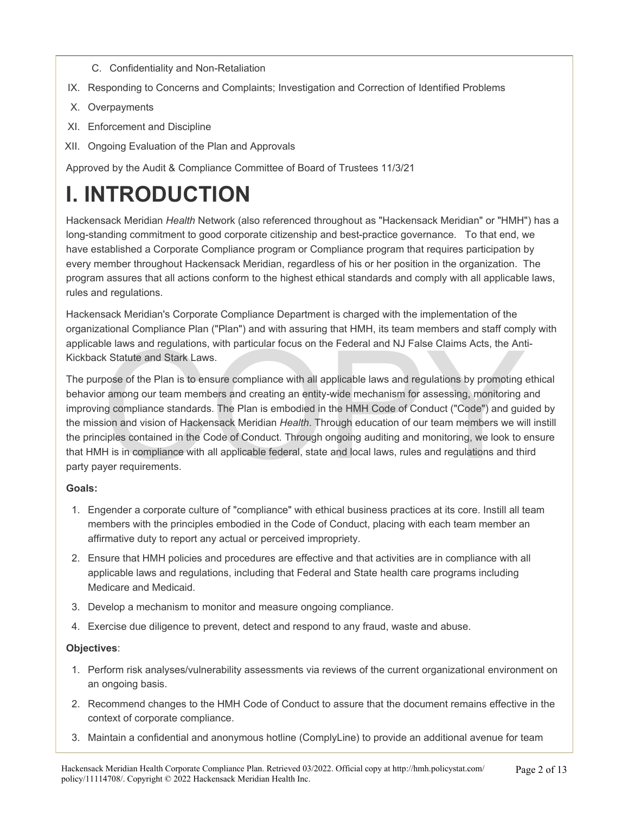- C. Confidentiality and Non-Retaliation
- IX. Responding to Concerns and Complaints; Investigation and Correction of Identified Problems
- X. Overpayments
- XI. Enforcement and Discipline
- XII. Ongoing Evaluation of the Plan and Approvals

Approved by the Audit & Compliance Committee of Board of Trustees 11/3/21

## **I. INTRODUCTION**

Hackensack Meridian *Health* Network (also referenced throughout as "Hackensack Meridian" or "HMH") has a long-standing commitment to good corporate citizenship and best-practice governance. To that end, we have established a Corporate Compliance program or Compliance program that requires participation by every member throughout Hackensack Meridian, regardless of his or her position in the organization. The program assures that all actions conform to the highest ethical standards and comply with all applicable laws, rules and regulations.

Hackensack Meridian's Corporate Compliance Department is charged with the implementation of the organizational Compliance Plan ("Plan") and with assuring that HMH, its team members and staff comply with applicable laws and regulations, with particular focus on the Federal and NJ False Claims Acts, the Anti-Kickback Statute and Stark Laws.

ble laws and regulations, with particular focus on the Federal and NJ False Claims Acts, the Ant<br>k Statute and Stark Laws.<br>pose of the Plan is to ensure compliance with all applicable laws and regulations by promoting a<br>r The purpose of the Plan is to ensure compliance with all applicable laws and regulations by promoting ethical behavior among our team members and creating an entity-wide mechanism for assessing, monitoring and improving compliance standards. The Plan is embodied in the HMH Code of Conduct ("Code") and guided by the mission and vision of Hackensack Meridian *Health*. Through education of our team members we will instill the principles contained in the Code of Conduct. Through ongoing auditing and monitoring, we look to ensure that HMH is in compliance with all applicable federal, state and local laws, rules and regulations and third party payer requirements.

#### **Goals:**

- 1. Engender a corporate culture of "compliance" with ethical business practices at its core. Instill all team members with the principles embodied in the Code of Conduct, placing with each team member an affirmative duty to report any actual or perceived impropriety.
- 2. Ensure that HMH policies and procedures are effective and that activities are in compliance with all applicable laws and regulations, including that Federal and State health care programs including Medicare and Medicaid.
- 3. Develop a mechanism to monitor and measure ongoing compliance.
- 4. Exercise due diligence to prevent, detect and respond to any fraud, waste and abuse.

#### **Objectives**:

- 1. Perform risk analyses/vulnerability assessments via reviews of the current organizational environment on an ongoing basis.
- 2. Recommend changes to the HMH Code of Conduct to assure that the document remains effective in the context of corporate compliance.
- 3. Maintain a confidential and anonymous hotline (ComplyLine) to provide an additional avenue for team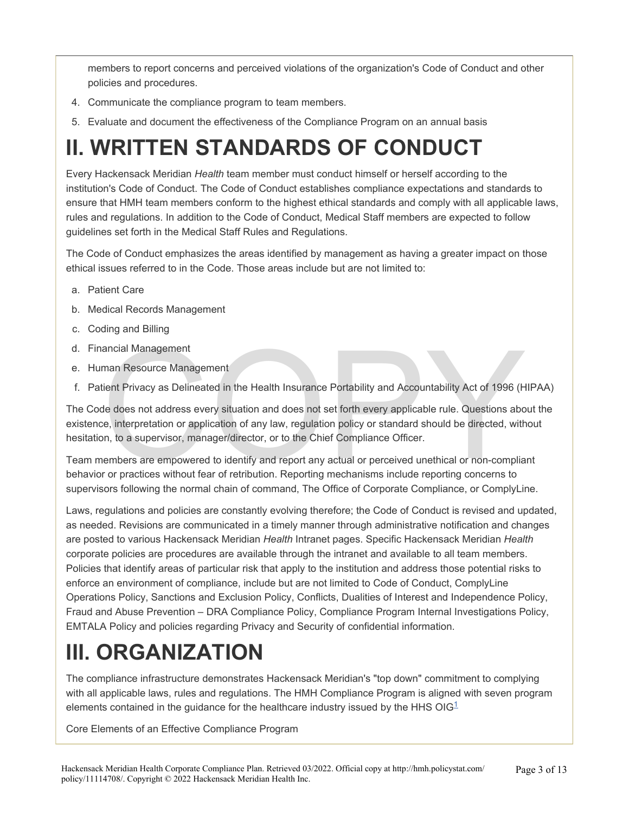members to report concerns and perceived violations of the organization's Code of Conduct and other policies and procedures.

- 4. Communicate the compliance program to team members.
- 5. Evaluate and document the effectiveness of the Compliance Program on an annual basis

## **II. WRITTEN STANDARDS OF CONDUCT**

Every Hackensack Meridian *Health* team member must conduct himself or herself according to the institution's Code of Conduct. The Code of Conduct establishes compliance expectations and standards to ensure that HMH team members conform to the highest ethical standards and comply with all applicable laws, rules and regulations. In addition to the Code of Conduct, Medical Staff members are expected to follow guidelines set forth in the Medical Staff Rules and Regulations.

The Code of Conduct emphasizes the areas identified by management as having a greater impact on those ethical issues referred to in the Code. Those areas include but are not limited to:

- a. Patient Care
- b. Medical Records Management
- c. Coding and Billing
- d. Financial Management
- e. Human Resource Management
- f. Patient Privacy as Delineated in the Health Insurance Portability and Accountability Act of 1996 (HIPAA)

ancial Management<br>
man Resource Management<br>
tient Privacy as Delineated in the Health Insurance Portability and Accountability Act of 1996 (H<br>
de does not address every situation and does not set forth every applicable rul The Code does not address every situation and does not set forth every applicable rule. Questions about the existence, interpretation or application of any law, regulation policy or standard should be directed, without hesitation, to a supervisor, manager/director, or to the Chief Compliance Officer.

Team members are empowered to identify and report any actual or perceived unethical or non-compliant behavior or practices without fear of retribution. Reporting mechanisms include reporting concerns to supervisors following the normal chain of command, The Office of Corporate Compliance, or ComplyLine.

Laws, regulations and policies are constantly evolving therefore; the Code of Conduct is revised and updated, as needed. Revisions are communicated in a timely manner through administrative notification and changes are posted to various Hackensack Meridian *Health* Intranet pages. Specific Hackensack Meridian *Health*  corporate policies are procedures are available through the intranet and available to all team members. Policies that identify areas of particular risk that apply to the institution and address those potential risks to enforce an environment of compliance, include but are not limited to Code of Conduct, ComplyLine Operations Policy, Sanctions and Exclusion Policy, Conflicts, Dualities of Interest and Independence Policy, Fraud and Abuse Prevention – DRA Compliance Policy, Compliance Program Internal Investigations Policy, EMTALA Policy and policies regarding Privacy and Security of confidential information.

## **III. ORGANIZATION**

The compliance infrastructure demonstrates Hackensack Meridian's "top down" commitment to complying with all applicable laws, rules and regulations. The HMH Compliance Program is aligned with seven program elements contained in the quidance for the healthcare industry issued by the HHS  $OIG<sup>1</sup>$ 

Core Elements of an Effective Compliance Program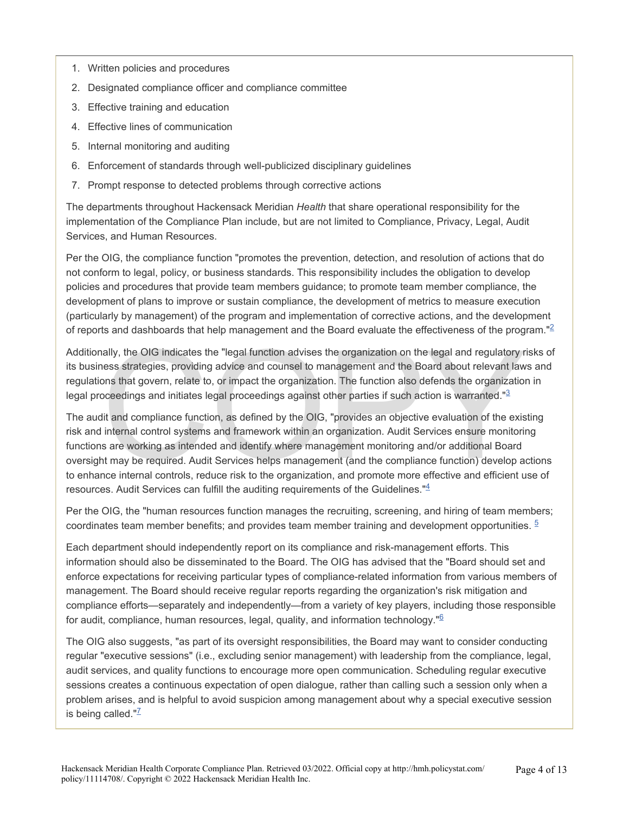- 1. Written policies and procedures
- 2. Designated compliance officer and compliance committee
- 3. Effective training and education
- 4. Effective lines of communication
- 5. Internal monitoring and auditing
- 6. Enforcement of standards through well-publicized disciplinary guidelines
- 7. Prompt response to detected problems through corrective actions

The departments throughout Hackensack Meridian *Health* that share operational responsibility for the implementation of the Compliance Plan include, but are not limited to Compliance, Privacy, Legal, Audit Services, and Human Resources.

Per the OIG, the compliance function "promotes the prevention, detection, and resolution of actions that do not conform to legal, policy, or business standards. This responsibility includes the obligation to develop policies and procedures that provide team members guidance; to promote team member compliance, the development of plans to improve or sustain compliance, the development of metrics to measure execution (particularly by management) of the program and implementation of corrective actions, and the development of reports and dashboards that help management and the Board evaluate the effectiveness of the program."<sup>2</sup>

Additionally, the OIG indicates the "legal function advises the organization on the legal and regulatory risks of its business strategies, providing advice and counsel to management and the Board about relevant laws and regulations that govern, relate to, or impact the organization. The function also defends the organization in legal proceedings and initiates legal proceedings against other parties if such action is warranted."<sup>3</sup>

ally, the OIG indicates the "legal function advises the organization on the legal and regulatory r<br>ess strategies, providing advice and counsel to management and the Board about relevant law<br>ons that govern, relate to, or The audit and compliance function, as defined by the OIG, "provides an objective evaluation of the existing risk and internal control systems and framework within an organization. Audit Services ensure monitoring functions are working as intended and identify where management monitoring and/or additional Board oversight may be required. Audit Services helps management (and the compliance function) develop actions to enhance internal controls, reduce risk to the organization, and promote more effective and efficient use of resources. Audit Services can fulfill the auditing requirements of the Guidelines."<sup>4</sup>

Per the OIG, the "human resources function manages the recruiting, screening, and hiring of team members; coordinates team member benefits; and provides team member training and development opportunities. <sup>5</sup>

Each department should independently report on its compliance and risk-management efforts. This information should also be disseminated to the Board. The OIG has advised that the "Board should set and enforce expectations for receiving particular types of compliance-related information from various members of management. The Board should receive regular reports regarding the organization's risk mitigation and compliance efforts—separately and independently—from a variety of key players, including those responsible for audit, compliance, human resources, legal, quality, and information technology."<sup>6</sup>

The OIG also suggests, "as part of its oversight responsibilities, the Board may want to consider conducting regular "executive sessions" (i.e., excluding senior management) with leadership from the compliance, legal, audit services, and quality functions to encourage more open communication. Scheduling regular executive sessions creates a continuous expectation of open dialogue, rather than calling such a session only when a problem arises, and is helpful to avoid suspicion among management about why a special executive session is being called. $"^{\mathsf{Z}}$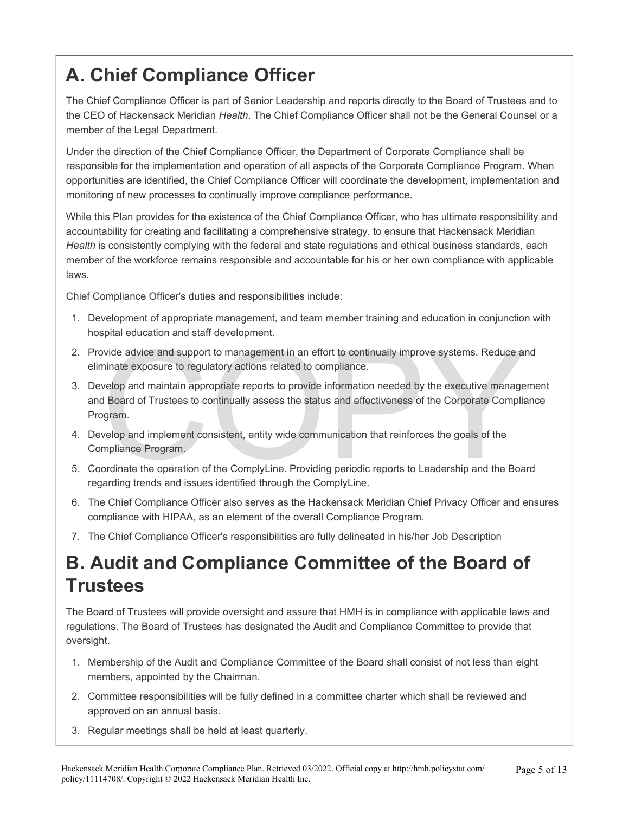### **A. Chief Compliance Officer**

The Chief Compliance Officer is part of Senior Leadership and reports directly to the Board of Trustees and to the CEO of Hackensack Meridian *Health*. The Chief Compliance Officer shall not be the General Counsel or a member of the Legal Department.

Under the direction of the Chief Compliance Officer, the Department of Corporate Compliance shall be responsible for the implementation and operation of all aspects of the Corporate Compliance Program. When opportunities are identified, the Chief Compliance Officer will coordinate the development, implementation and monitoring of new processes to continually improve compliance performance.

While this Plan provides for the existence of the Chief Compliance Officer, who has ultimate responsibility and accountability for creating and facilitating a comprehensive strategy, to ensure that Hackensack Meridian *Health* is consistently complying with the federal and state regulations and ethical business standards, each member of the workforce remains responsible and accountable for his or her own compliance with applicable laws.

Chief Compliance Officer's duties and responsibilities include:

- 1. Development of appropriate management, and team member training and education in conjunction with hospital education and staff development.
- 2. Provide advice and support to management in an effort to continually improve systems. Reduce and eliminate exposure to regulatory actions related to compliance.
- Transfer and support to management in an effort to continually improve systems. Reduce an ininate exposure to regulatory actions related to compliance.<br>
welop and maintain appropriate reports to provide information needed 3. Develop and maintain appropriate reports to provide information needed by the executive management and Board of Trustees to continually assess the status and effectiveness of the Corporate Compliance Program.
- 4. Develop and implement consistent, entity wide communication that reinforces the goals of the Compliance Program.
- 5. Coordinate the operation of the ComplyLine. Providing periodic reports to Leadership and the Board regarding trends and issues identified through the ComplyLine.
- 6. The Chief Compliance Officer also serves as the Hackensack Meridian Chief Privacy Officer and ensures compliance with HIPAA, as an element of the overall Compliance Program.
- 7. The Chief Compliance Officer's responsibilities are fully delineated in his/her Job Description

#### **B. Audit and Compliance Committee of the Board of Trustees**

The Board of Trustees will provide oversight and assure that HMH is in compliance with applicable laws and regulations. The Board of Trustees has designated the Audit and Compliance Committee to provide that oversight.

- 1. Membership of the Audit and Compliance Committee of the Board shall consist of not less than eight members, appointed by the Chairman.
- 2. Committee responsibilities will be fully defined in a committee charter which shall be reviewed and approved on an annual basis.
- 3. Regular meetings shall be held at least quarterly.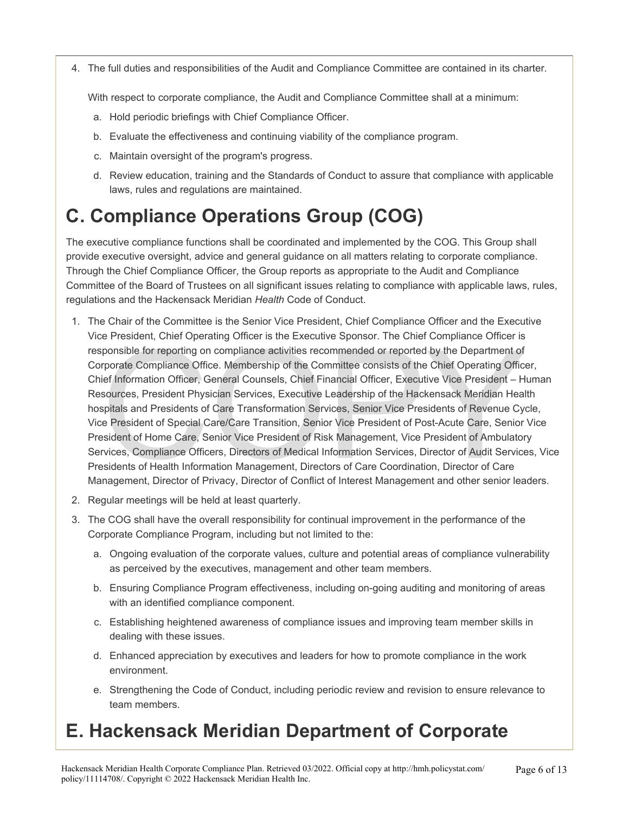4. The full duties and responsibilities of the Audit and Compliance Committee are contained in its charter.

With respect to corporate compliance, the Audit and Compliance Committee shall at a minimum:

- a. Hold periodic briefings with Chief Compliance Officer.
- b. Evaluate the effectiveness and continuing viability of the compliance program.
- c. Maintain oversight of the program's progress.
- d. Review education, training and the Standards of Conduct to assure that compliance with applicable laws, rules and regulations are maintained.

### **C. Compliance Operations Group (COG)**

The executive compliance functions shall be coordinated and implemented by the COG. This Group shall provide executive oversight, advice and general guidance on all matters relating to corporate compliance. Through the Chief Compliance Officer, the Group reports as appropriate to the Audit and Compliance Committee of the Board of Trustees on all significant issues relating to compliance with applicable laws, rules, regulations and the Hackensack Meridian *Health* Code of Conduct.

- President, Only Officer's the Executive Sponson. The Chief Compliance Office is<br>ponsible for reporting on compliance activities recommended or reported by the Department of<br>reported Compliance Office. Membership of the Com 1. The Chair of the Committee is the Senior Vice President, Chief Compliance Officer and the Executive Vice President, Chief Operating Officer is the Executive Sponsor. The Chief Compliance Officer is responsible for reporting on compliance activities recommended or reported by the Department of Corporate Compliance Office. Membership of the Committee consists of the Chief Operating Officer, Chief Information Officer, General Counsels, Chief Financial Officer, Executive Vice President – Human Resources, President Physician Services, Executive Leadership of the Hackensack Meridian Health hospitals and Presidents of Care Transformation Services, Senior Vice Presidents of Revenue Cycle, Vice President of Special Care/Care Transition, Senior Vice President of Post-Acute Care, Senior Vice President of Home Care, Senior Vice President of Risk Management, Vice President of Ambulatory Services, Compliance Officers, Directors of Medical Information Services, Director of Audit Services, Vice Presidents of Health Information Management, Directors of Care Coordination, Director of Care Management, Director of Privacy, Director of Conflict of Interest Management and other senior leaders.
- 2. Regular meetings will be held at least quarterly.
- 3. The COG shall have the overall responsibility for continual improvement in the performance of the Corporate Compliance Program, including but not limited to the:
	- a. Ongoing evaluation of the corporate values, culture and potential areas of compliance vulnerability as perceived by the executives, management and other team members.
	- b. Ensuring Compliance Program effectiveness, including on-going auditing and monitoring of areas with an identified compliance component.
	- c. Establishing heightened awareness of compliance issues and improving team member skills in dealing with these issues.
	- d. Enhanced appreciation by executives and leaders for how to promote compliance in the work environment.
	- e. Strengthening the Code of Conduct, including periodic review and revision to ensure relevance to team members.

### **E. Hackensack Meridian Department of Corporate**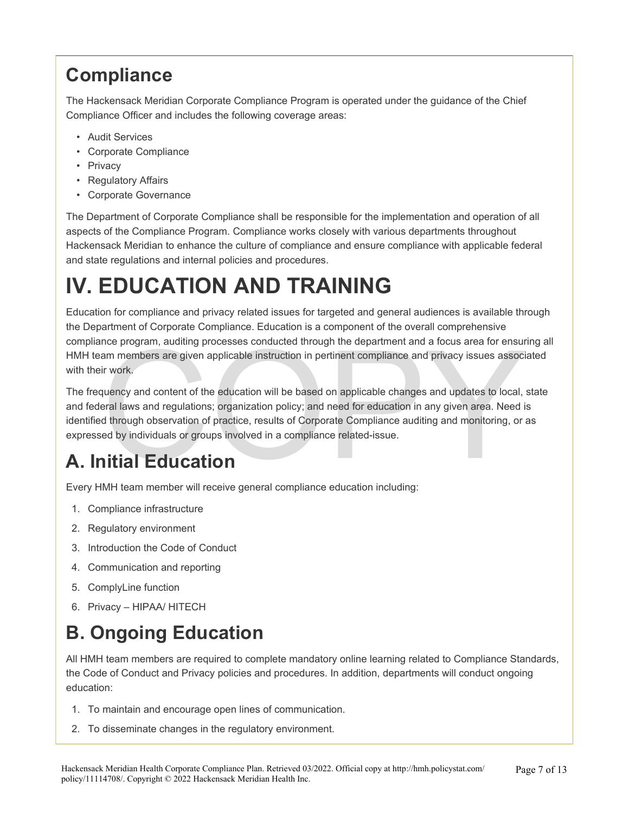### **Compliance**

The Hackensack Meridian Corporate Compliance Program is operated under the guidance of the Chief Compliance Officer and includes the following coverage areas:

- Audit Services
- Corporate Compliance
- Privacy
- Regulatory Affairs
- Corporate Governance

The Department of Corporate Compliance shall be responsible for the implementation and operation of all aspects of the Compliance Program. Compliance works closely with various departments throughout Hackensack Meridian to enhance the culture of compliance and ensure compliance with applicable federal and state regulations and internal policies and procedures.

## **IV. EDUCATION AND TRAINING**

Education for compliance and privacy related issues for targeted and general audiences is available through the Department of Corporate Compliance. Education is a component of the overall comprehensive compliance program, auditing processes conducted through the department and a focus area for ensuring all HMH team members are given applicable instruction in pertinent compliance and privacy issues associated with their work.

nce program, auditing processes conducted through the department and a focus area for ensure<br>am members are given applicable instruction in pertinent compliance and privacy issues associ<br>ir work.<br>quency and content of the The frequency and content of the education will be based on applicable changes and updates to local, state and federal laws and regulations; organization policy; and need for education in any given area. Need is identified through observation of practice, results of Corporate Compliance auditing and monitoring, or as expressed by individuals or groups involved in a compliance related-issue.

## **A. Initial Education**

Every HMH team member will receive general compliance education including:

- 1. Compliance infrastructure
- 2. Regulatory environment
- 3. Introduction the Code of Conduct
- 4. Communication and reporting
- 5. ComplyLine function
- 6. Privacy HIPAA/ HITECH

#### **B. Ongoing Education**

All HMH team members are required to complete mandatory online learning related to Compliance Standards, the Code of Conduct and Privacy policies and procedures. In addition, departments will conduct ongoing education:

- 1. To maintain and encourage open lines of communication.
- 2. To disseminate changes in the regulatory environment.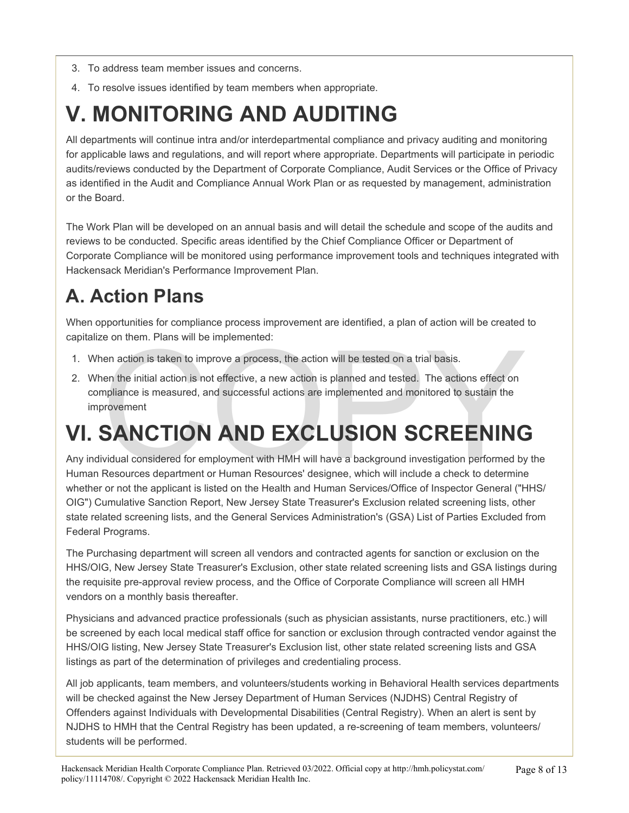- 3. To address team member issues and concerns.
- 4. To resolve issues identified by team members when appropriate.

## **V. MONITORING AND AUDITING**

All departments will continue intra and/or interdepartmental compliance and privacy auditing and monitoring for applicable laws and regulations, and will report where appropriate. Departments will participate in periodic audits/reviews conducted by the Department of Corporate Compliance, Audit Services or the Office of Privacy as identified in the Audit and Compliance Annual Work Plan or as requested by management, administration or the Board.

The Work Plan will be developed on an annual basis and will detail the schedule and scope of the audits and reviews to be conducted. Specific areas identified by the Chief Compliance Officer or Department of Corporate Compliance will be monitored using performance improvement tools and techniques integrated with Hackensack Meridian's Performance Improvement Plan.

### **A. Action Plans**

When opportunities for compliance process improvement are identified, a plan of action will be created to capitalize on them. Plans will be implemented:

- 1. When action is taken to improve a process, the action will be tested on a trial basis.
- EXCLUSION SCREENING<br>
Mission considered for employment with HMH will have a background investigation performed by<br>
Resources department of HMD EXCLUSION SCREENING<br>
COPY AND EXCLUSION SCREENING<br>
COPY AND EXCLUSION SCREENING 2. When the initial action is not effective, a new action is planned and tested. The actions effect on compliance is measured, and successful actions are implemented and monitored to sustain the improvement

## **VI. SANCTION AND EXCLUSION SCREENING**

Any individual considered for employment with HMH will have a background investigation performed by the Human Resources department or Human Resources' designee, which will include a check to determine whether or not the applicant is listed on the Health and Human Services/Office of Inspector General ("HHS/ OIG") Cumulative Sanction Report, New Jersey State Treasurer's Exclusion related screening lists, other state related screening lists, and the General Services Administration's (GSA) List of Parties Excluded from Federal Programs.

The Purchasing department will screen all vendors and contracted agents for sanction or exclusion on the HHS/OIG, New Jersey State Treasurer's Exclusion, other state related screening lists and GSA listings during the requisite pre-approval review process, and the Office of Corporate Compliance will screen all HMH vendors on a monthly basis thereafter.

Physicians and advanced practice professionals (such as physician assistants, nurse practitioners, etc.) will be screened by each local medical staff office for sanction or exclusion through contracted vendor against the HHS/OIG listing, New Jersey State Treasurer's Exclusion list, other state related screening lists and GSA listings as part of the determination of privileges and credentialing process.

All job applicants, team members, and volunteers/students working in Behavioral Health services departments will be checked against the New Jersey Department of Human Services (NJDHS) Central Registry of Offenders against Individuals with Developmental Disabilities (Central Registry). When an alert is sent by NJDHS to HMH that the Central Registry has been updated, a re-screening of team members, volunteers/ students will be performed.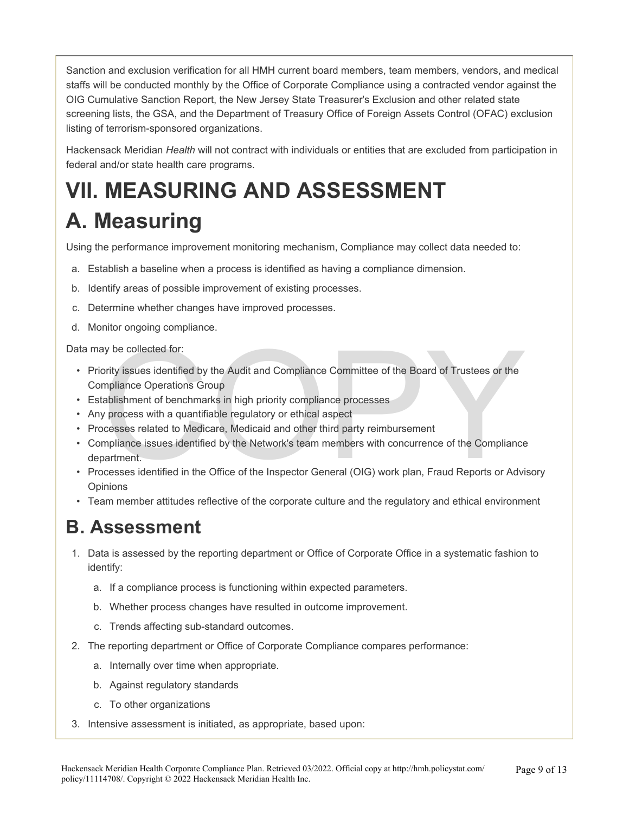Sanction and exclusion verification for all HMH current board members, team members, vendors, and medical staffs will be conducted monthly by the Office of Corporate Compliance using a contracted vendor against the OIG Cumulative Sanction Report, the New Jersey State Treasurer's Exclusion and other related state screening lists, the GSA, and the Department of Treasury Office of Foreign Assets Control (OFAC) exclusion listing of terrorism-sponsored organizations.

Hackensack Meridian *Health* will not contract with individuals or entities that are excluded from participation in federal and/or state health care programs.

## **VII. MEASURING AND ASSESSMENT A. Measuring**

Using the performance improvement monitoring mechanism, Compliance may collect data needed to:

- a. Establish a baseline when a process is identified as having a compliance dimension.
- b. Identify areas of possible improvement of existing processes.
- c. Determine whether changes have improved processes.
- d. Monitor ongoing compliance.

Data may be collected for:

- ay be collected for:<br>
ority issues identified by the Audit and Compliance Committee of the Board of Trustees or the<br>
mpliance Operations Group<br>
stablishment of benchmarks in high priority compliance processes<br>
y process wi • Priority issues identified by the Audit and Compliance Committee of the Board of Trustees or the Compliance Operations Group
- Establishment of benchmarks in high priority compliance processes
- Any process with a quantifiable regulatory or ethical aspect
- Processes related to Medicare, Medicaid and other third party reimbursement
- Compliance issues identified by the Network's team members with concurrence of the Compliance department.
- Processes identified in the Office of the Inspector General (OIG) work plan, Fraud Reports or Advisory **Opinions**
- Team member attitudes reflective of the corporate culture and the regulatory and ethical environment

#### **B. Assessment**

- 1. Data is assessed by the reporting department or Office of Corporate Office in a systematic fashion to identify:
	- a. If a compliance process is functioning within expected parameters.
	- b. Whether process changes have resulted in outcome improvement.
	- c. Trends affecting sub-standard outcomes.
- 2. The reporting department or Office of Corporate Compliance compares performance:
	- a. Internally over time when appropriate.
	- b. Against regulatory standards
	- c. To other organizations
- 3. Intensive assessment is initiated, as appropriate, based upon: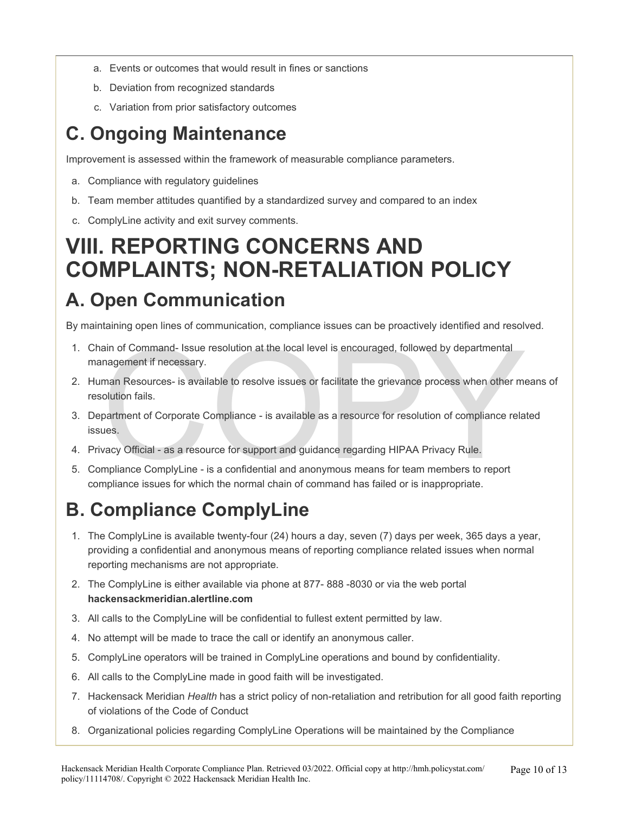- a. Events or outcomes that would result in fines or sanctions
- b. Deviation from recognized standards
- c. Variation from prior satisfactory outcomes

## **C. Ongoing Maintenance**

Improvement is assessed within the framework of measurable compliance parameters.

- a. Compliance with regulatory guidelines
- b. Team member attitudes quantified by a standardized survey and compared to an index
- c. ComplyLine activity and exit survey comments.

## **VIII. REPORTING CONCERNS AND COMPLAINTS; NON-RETALIATION POLICY**

### **A. Open Communication**

By maintaining open lines of communication, compliance issues can be proactively identified and resolved.

- 1. Chain of Command- Issue resolution at the local level is encouraged, followed by departmental management if necessary.
- ain of Command- Issue resolution at the local level is encouraged, followed by departmental<br>nagement if necessary.<br>man Resources- is available to resolve issues or facilitate the grievance process when other me<br>olution fai 2. Human Resources- is available to resolve issues or facilitate the grievance process when other means of resolution fails.
- 3. Department of Corporate Compliance is available as a resource for resolution of compliance related issues.
- 4. Privacy Official as a resource for support and guidance regarding HIPAA Privacy Rule.
- 5. Compliance ComplyLine is a confidential and anonymous means for team members to report compliance issues for which the normal chain of command has failed or is inappropriate.

## **B. Compliance ComplyLine**

- 1. The ComplyLine is available twenty-four (24) hours a day, seven (7) days per week, 365 days a year, providing a confidential and anonymous means of reporting compliance related issues when normal reporting mechanisms are not appropriate.
- 2. The ComplyLine is either available via phone at 877- 888 -8030 or via the web portal **hackensackmeridian.alertline.com**
- 3. All calls to the ComplyLine will be confidential to fullest extent permitted by law.
- 4. No attempt will be made to trace the call or identify an anonymous caller.
- 5. ComplyLine operators will be trained in ComplyLine operations and bound by confidentiality.
- 6. All calls to the ComplyLine made in good faith will be investigated.
- 7. Hackensack Meridian *Health* has a strict policy of non-retaliation and retribution for all good faith reporting of violations of the Code of Conduct
- 8. Organizational policies regarding ComplyLine Operations will be maintained by the Compliance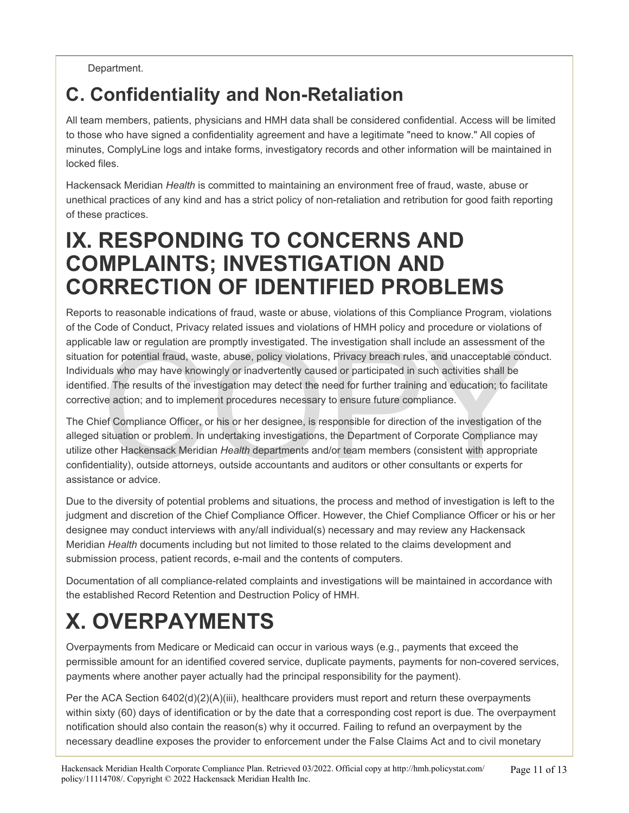#### Department.

### **C. Confidentiality and Non-Retaliation**

All team members, patients, physicians and HMH data shall be considered confidential. Access will be limited to those who have signed a confidentiality agreement and have a legitimate "need to know." All copies of minutes, ComplyLine logs and intake forms, investigatory records and other information will be maintained in locked files.

Hackensack Meridian *Health* is committed to maintaining an environment free of fraud, waste, abuse or unethical practices of any kind and has a strict policy of non-retaliation and retribution for good faith reporting of these practices.

## **IX. RESPONDING TO CONCERNS AND COMPLAINTS; INVESTIGATION AND CORRECTION OF IDENTIFIED PROBLEMS**

Reports to reasonable indications of fraud, waste or abuse, violations of this Compliance Program, violations of the Code of Conduct, Privacy related issues and violations of HMH policy and procedure or violations of applicable law or regulation are promptly investigated. The investigation shall include an assessment of the situation for potential fraud, waste, abuse, policy violations, Privacy breach rules, and unacceptable conduct. Individuals who may have knowingly or inadvertently caused or participated in such activities shall be identified. The results of the investigation may detect the need for further training and education; to facilitate corrective action; and to implement procedures necessary to ensure future compliance.

ble law or regulation are promptly investigated. The investigation shall include an assessment of<br>of ropotential fraud, waste, abuse, policy violations, Privacy breach rules, and unacceptable cor<br>als who may have knowingly The Chief Compliance Officer, or his or her designee, is responsible for direction of the investigation of the alleged situation or problem. In undertaking investigations, the Department of Corporate Compliance may utilize other Hackensack Meridian *Health* departments and/or team members (consistent with appropriate confidentiality), outside attorneys, outside accountants and auditors or other consultants or experts for assistance or advice.

Due to the diversity of potential problems and situations, the process and method of investigation is left to the judgment and discretion of the Chief Compliance Officer. However, the Chief Compliance Officer or his or her designee may conduct interviews with any/all individual(s) necessary and may review any Hackensack Meridian *Health* documents including but not limited to those related to the claims development and submission process, patient records, e-mail and the contents of computers.

Documentation of all compliance-related complaints and investigations will be maintained in accordance with the established Record Retention and Destruction Policy of HMH.

## **X. OVERPAYMENTS**

Overpayments from Medicare or Medicaid can occur in various ways (e.g., payments that exceed the permissible amount for an identified covered service, duplicate payments, payments for non-covered services, payments where another payer actually had the principal responsibility for the payment).

Per the ACA Section 6402(d)(2)(A)(iii), healthcare providers must report and return these overpayments within sixty (60) days of identification or by the date that a corresponding cost report is due. The overpayment notification should also contain the reason(s) why it occurred. Failing to refund an overpayment by the necessary deadline exposes the provider to enforcement under the False Claims Act and to civil monetary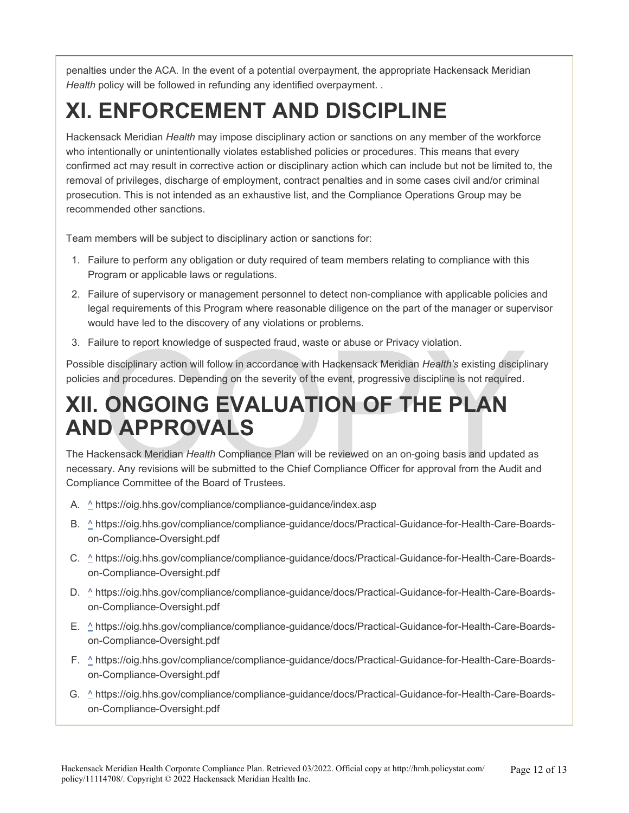penalties under the ACA. In the event of a potential overpayment, the appropriate Hackensack Meridian *Health* policy will be followed in refunding any identified overpayment. .

## **XI. ENFORCEMENT AND DISCIPLINE**

Hackensack Meridian *Health* may impose disciplinary action or sanctions on any member of the workforce who intentionally or unintentionally violates established policies or procedures. This means that every confirmed act may result in corrective action or disciplinary action which can include but not be limited to, the removal of privileges, discharge of employment, contract penalties and in some cases civil and/or criminal prosecution. This is not intended as an exhaustive list, and the Compliance Operations Group may be recommended other sanctions.

Team members will be subject to disciplinary action or sanctions for:

- 1. Failure to perform any obligation or duty required of team members relating to compliance with this Program or applicable laws or regulations.
- 2. Failure of supervisory or management personnel to detect non-compliance with applicable policies and legal requirements of this Program where reasonable diligence on the part of the manager or supervisor would have led to the discovery of any violations or problems.
- 3. Failure to report knowledge of suspected fraud, waste or abuse or Privacy violation.

Possible disciplinary action will follow in accordance with Hackensack Meridian *Health's* existing disciplinary policies and procedures. Depending on the severity of the event, progressive discipline is not required.

# lure to report knowledge of suspected fraud, waste or abuse or Privacy violation.<br>
Le disciplinary action will follow in accordance with Hackensack Meridian *Health's* existing disciple and procedures. Depending on the sev **XII. ONGOING EVALUATION OF THE PLAN AND APPROVALS**

The Hackensack Meridian *Health* Compliance Plan will be reviewed on an on-going basis and updated as necessary. Any revisions will be submitted to the Chief Compliance Officer for approval from the Audit and Compliance Committee of the Board of Trustees.

- A. ^ https://oig.hhs.gov/compliance/compliance-guidance/index.asp
- B. ^ https://oig.hhs.gov/compliance/compliance-guidance/docs/Practical-Guidance-for-Health-Care-Boardson-Compliance-Oversight.pdf
- C.  $\triangle$  https://oig.hhs.gov/compliance/compliance-guidance/docs/Practical-Guidance-for-Health-Care-Boardson-Compliance-Oversight.pdf
- D.  $\triangle$  https://oig.hhs.gov/compliance/compliance-guidance/docs/Practical-Guidance-for-Health-Care-Boardson-Compliance-Oversight.pdf
- E.  $\triangle$  https://oig.hhs.gov/compliance/compliance-guidance/docs/Practical-Guidance-for-Health-Care-Boardson-Compliance-Oversight.pdf
- F. ^ https://oig.hhs.gov/compliance/compliance-guidance/docs/Practical-Guidance-for-Health-Care-Boardson-Compliance-Oversight.pdf
- G. ^ https://oig.hhs.gov/compliance/compliance-guidance/docs/Practical-Guidance-for-Health-Care-Boardson-Compliance-Oversight.pdf